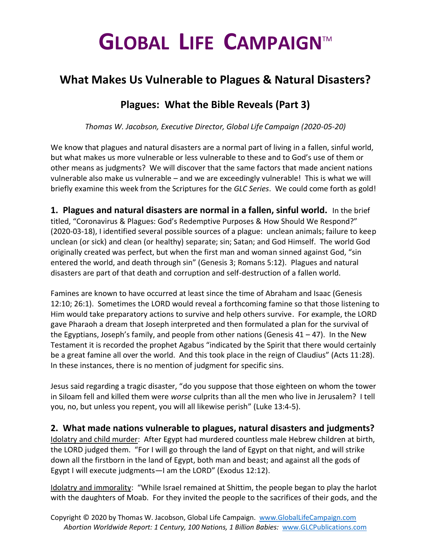# **GLOBAL LIFE CAMPAIGN**TM

## **What Makes Us Vulnerable to Plagues & Natural Disasters?**

## **Plagues: What the Bible Reveals (Part 3)**

*Thomas W. Jacobson, Executive Director, Global Life Campaign (2020-05-20)*

We know that plagues and natural disasters are a normal part of living in a fallen, sinful world, but what makes us more vulnerable or less vulnerable to these and to God's use of them or other means as judgments? We will discover that the same factors that made ancient nations vulnerable also make us vulnerable – and we are exceedingly vulnerable! This is what we will briefly examine this week from the Scriptures for the *GLC Series*. We could come forth as gold!

**1. Plagues and natural disasters are normal in a fallen, sinful world.** In the brief titled, "Coronavirus & Plagues: God's Redemptive Purposes & How Should We Respond?" (2020-03-18), I identified several possible sources of a plague: unclean animals; failure to keep unclean (or sick) and clean (or healthy) separate; sin; Satan; and God Himself. The world God originally created was perfect, but when the first man and woman sinned against God, "sin entered the world, and death through sin" (Genesis 3; Romans 5:12). Plagues and natural disasters are part of that death and corruption and self-destruction of a fallen world.

Famines are known to have occurred at least since the time of Abraham and Isaac (Genesis 12:10; 26:1). Sometimes the LORD would reveal a forthcoming famine so that those listening to Him would take preparatory actions to survive and help others survive. For example, the LORD gave Pharaoh a dream that Joseph interpreted and then formulated a plan for the survival of the Egyptians, Joseph's family, and people from other nations (Genesis  $41 - 47$ ). In the New Testament it is recorded the prophet Agabus "indicated by the Spirit that there would certainly be a great famine all over the world. And this took place in the reign of Claudius" (Acts 11:28). In these instances, there is no mention of judgment for specific sins.

Jesus said regarding a tragic disaster, "do you suppose that those eighteen on whom the tower in Siloam fell and killed them were *worse* culprits than all the men who live in Jerusalem? I tell you, no, but unless you repent, you will all likewise perish" (Luke 13:4-5).

### **2. What made nations vulnerable to plagues, natural disasters and judgments?**

Idolatry and child murder: After Egypt had murdered countless male Hebrew children at birth, the LORD judged them. "For I will go through the land of Egypt on that night, and will strike down all the firstborn in the land of Egypt, both man and beast; and against all the gods of Egypt I will execute judgments—I am the LORD" (Exodus 12:12).

Idolatry and immorality: "While Israel remained at Shittim, the people began to play the harlot with the daughters of Moab. For they invited the people to the sacrifices of their gods, and the

Copyright © 2020 by Thomas W. Jacobson, Global Life Campaign. [www.GlobalLifeCampaign.com](http://www.globallifecampaign.com/)  *Abortion Worldwide Report: 1 Century, 100 Nations, 1 Billion Babies:* [www.GLCPublications.com](http://www.glcpublications.com/)